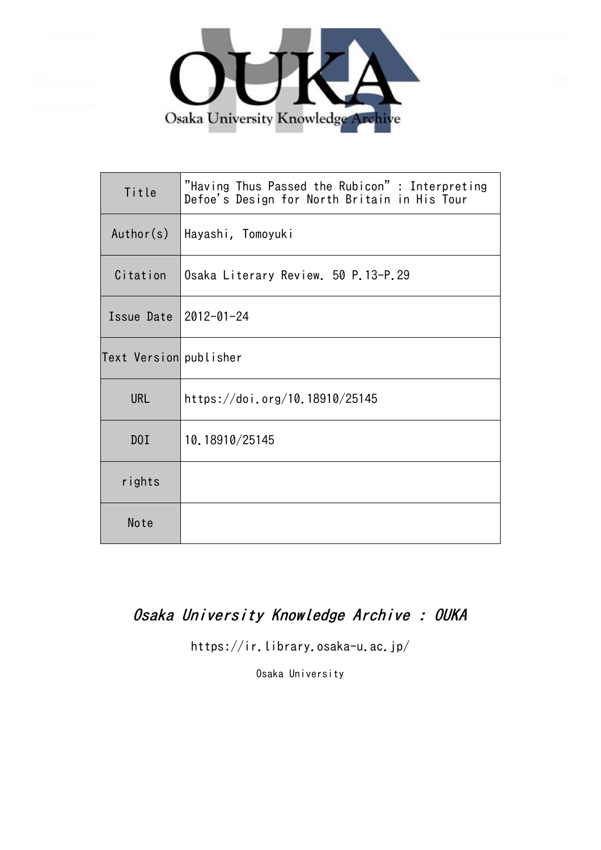

| Title                   | "Having Thus Passed the Rubicon" : Interpreting<br>Defoe's Design for North Britain in His Tour |
|-------------------------|-------------------------------------------------------------------------------------------------|
| Author(s)               | Hayashi, Tomoyuki                                                                               |
| Citation                | Osaka Literary Review. 50 P.13-P.29                                                             |
| Issue Date   2012-01-24 |                                                                                                 |
| Text Version publisher  |                                                                                                 |
| <b>URL</b>              | https://doi.org/10.18910/25145                                                                  |
| DOI                     | 10.18910/25145                                                                                  |
| rights                  |                                                                                                 |
| Note                    |                                                                                                 |

# Osaka University Knowledge Archive : OUKA

https://ir.library.osaka-u.ac.jp/

Osaka University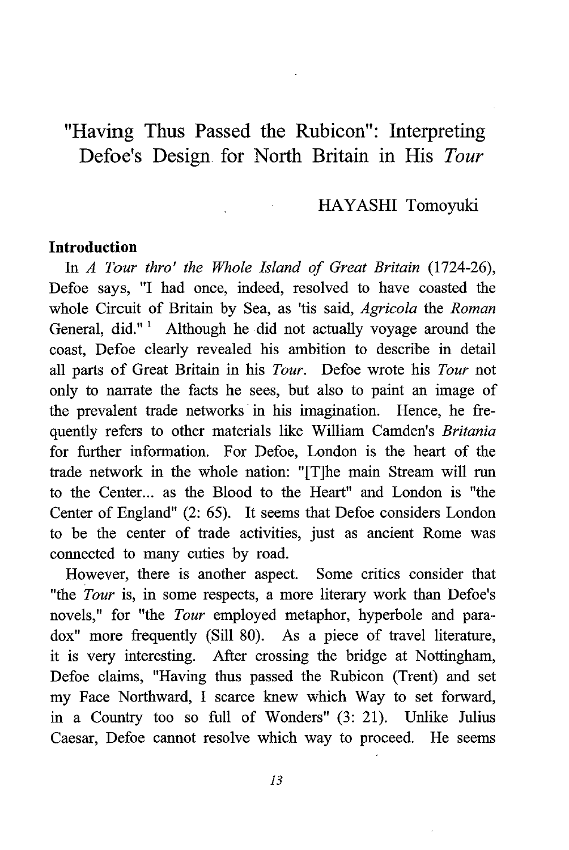# "Having Thus Passed the Rubicon": Interpreting Defoe's Design. for North Britain in His Tour

### HAYASHI Tomoyuki

#### Introduction

In A Tour thro' the Whole Island of Great Britain (1724-26), Defoe says, "I had once, indeed, resolved to have coasted the whole Circuit of Britain by Sea, as 'tis said, Agricola the Roman General, did."' Although he did not actually voyage around the coast, Defoe clearly revealed his ambition to describe in detail all parts of Great Britain in his Tour. Defoe wrote his Tour not only to narrate the facts he sees, but also to paint an image of the prevalent trade networks in his imagination. Hence, he frequently refers to other materials like William Camden's Britania for further information. For Defoe, London is the heart of the trade network in the whole nation: "[The main Stream will run to the Center... as the Blood to the Heart" and London is "the Center of England" (2: 65). It seems that Defoe considers London to be the center of trade activities, just as ancient Rome was connected to many cuties by road.

However, there is another aspect. Some critics consider that "the Tour is, in some respects, a more literary work than Defoe's novels," for "the Tour employed metaphor, hyperbole and paradox" more frequently (Sill 80). As a piece of travel literature, it is very interesting. After crossing the bridge at Nottingham, Defoe claims, "Having thus passed the Rubicon (Trent) and set my Face Northward, I scarce knew which Way to set forward, in a Country too so full of Wonders" (3: 21). Unlike Julius Caesar, Defoe cannot resolve which way to proceed. He seems

13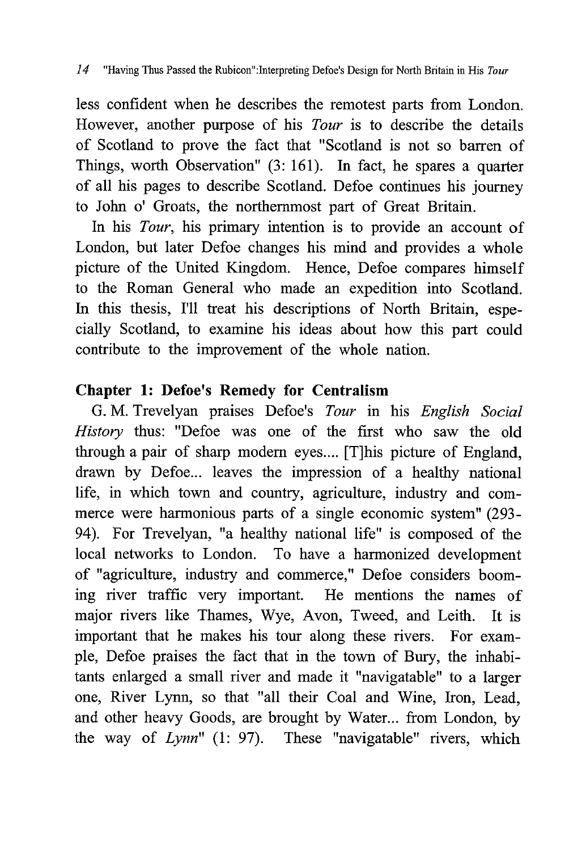less confident when he describes the remotest parts from London. However, another purpose of his Tour is to describe the details of Scotland to prove the fact that "Scotland is not so barren of Things, worth Observation" (3: 161). In fact, he spares a quarter of all his pages to describe Scotland. Defoe continues his journey to John o' Groats, the northernmost part of Great Britain.

In his *Tour*, his primary intention is to provide an account of London, but later Defoe changes his mind and provides a whole picture of the United Kingdom. Hence, Defoe compares himself to the Roman General who made an expedition into Scotland. In this thesis, I'll treat his descriptions of North Britain, especially Scotland, to examine his ideas about how this part could contribute to the improvement of the whole nation.

# Chapter 1: Defoe's Remedy for Centralism

G. M. Trevelyan praises Defoe's Tour in his English Social History thus: "Defoe was one of the first who saw the old through a pair of sharp modern eyes.... [T]his picture of England, drawn by Defoe... leaves the impression of a healthy national life, in which town and country, agriculture, industry and commerce were harmonious parts of a single economic system" (293- 94). For Trevelyan, "a healthy national life" is composed of the local networks to London. To have a harmonized development of "agriculture, industry and commerce," Defoe considers booming river traffic very important. He mentions the names of major rivers like Thames, Wye, Avon, Tweed, and Leith. It is important that he makes his tour along these rivers. For example, Defoe praises the fact that in the town of Bury, the inhabitants enlarged a small river and made it "navigatable" to a larger one, River Lynn, so that "all their Coal and Wine, Iron, Lead, and other heavy Goods, are brought by Water... from London, by the way of Lynn" (1: 97). These "navigatable" rivers, which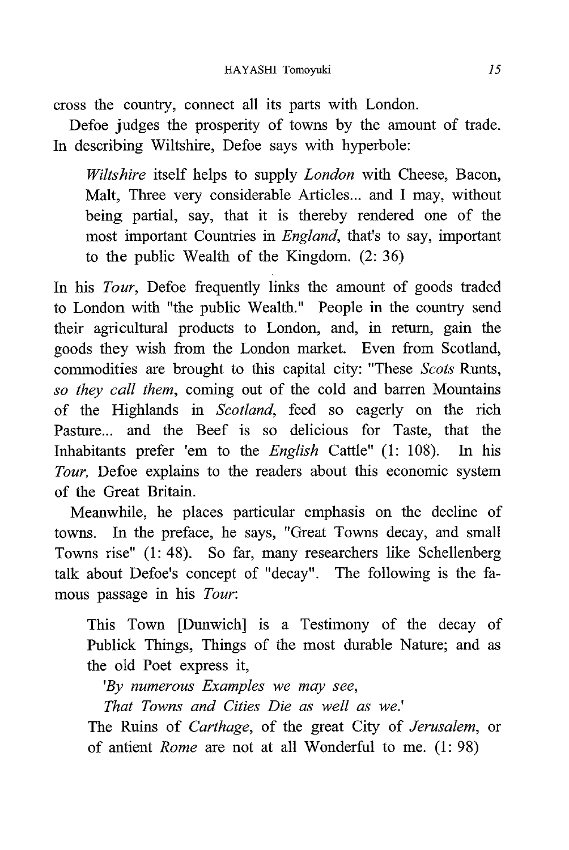cross the country, connect all its parts with London.

Defoe judges the prosperity of towns by the amount of trade. In describing Wiltshire, Defoe says with hyperbole:

Wiltshire itself helps to supply *London* with Cheese, Bacon, Malt, Three very considerable Articles... and I may, without being partial, say, that it is thereby rendered one of the most important Countries in England, that's to say, important to the public Wealth of the Kingdom. (2: 36)

In his Tour, Defoe frequently links the amount of goods traded to London with "the public Wealth." People in the country send their agricultural products to London, and, in return, gain the goods they wish from the London market. Even from Scotland, commodities are brought to this capital city: "These Scots Runts, so they call them, coming out of the cold and barren Mountains of the Highlands in Scotland, feed so eagerly on the rich Pasture... and the Beef is so delicious for Taste, that the Inhabitants prefer 'em to the English Cattle" (1: 108). In his Tour, Defoe explains to the readers about this economic system of the Great Britain.

Meanwhile, he places particular emphasis on the decline of towns. In the preface, he says, "Great Towns decay, and small Towns rise" (1: 48). So far, many researchers like Schellenberg talk about Defoe's concept of "decay". The following is the famous passage in his Tour:

This Town [Dunwich] is a Testimony of the decay of Publick Things, Things of the most durable Nature; and as the old Poet express it,

'By numerous Examples we may see ,

That Towns and Cities Die as well as we.'

The Ruins of Carthage, of the great City of Jerusalem, or of antient Rome are not at all Wonderful to me. (1: 98)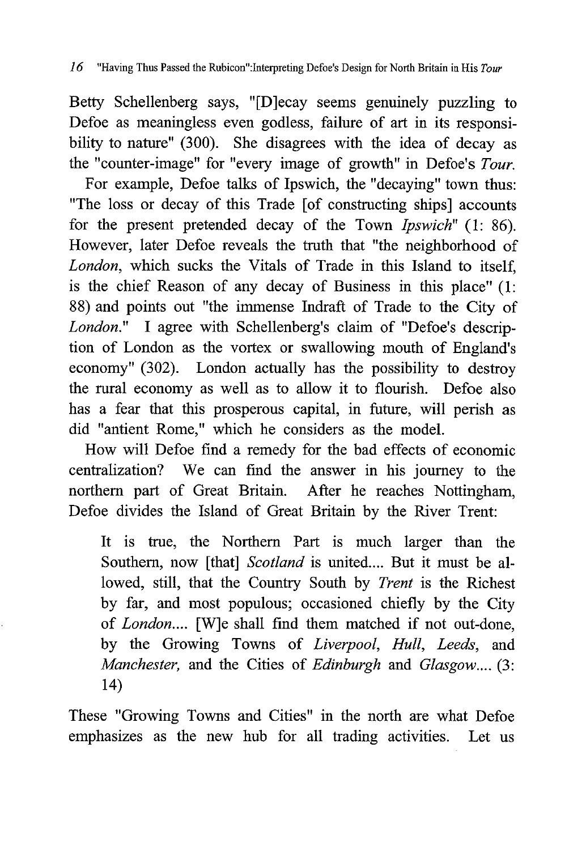Betty Schellenberg says, "[D]ecay seems genuinely puzzling to Defoe as meaningless even godless, failure of art in its responsibility to nature" (300). She disagrees with the idea of decay as the "counter-image" for "every image of growth" in Defoe's Tour.

For example, Defoe talks of Ipswich, the "decaying" town thus: "The loss or decay of this Trade [of constructing ships] accounts for the present pretended decay of the Town Ipswich" (1: 86). However, later Defoe reveals the truth that "the neighborhood of London, which sucks the Vitals of Trade in this Island to itself, is the chief Reason of any decay of Business in this place" (1: 88) and points out "the immense Indraft of Trade to the City of London." I agree with Schellenberg's claim of "Defoe's description of London as the vortex or swallowing mouth of England's economy" (302). London actually has the possibility to destroy the rural economy as well as to allow it to flourish. Defoe also has a fear that this prosperous capital, in future, will perish as did "antient Rome," which he considers as the model.

How will Defoe find a remedy for the bad effects of economic centralization? We can find the answer in his journey to the northern part of Great Britain. After he reaches Nottingham, Defoe divides the Island of Great Britain by the River Trent:

It is true, the Northern Part is much larger than the Southern, now [that] Scotland is united.... But it must be allowed, still, that the Country South by Trent is the Richest by far, and most populous; occasioned chiefly by the City of London.... [W]e shall find them matched if not out-done, by the Growing Towns of Liverpool, Hull, Leeds, and Manchester, and the Cities of Edinburgh and Glasgow.... (3: 14)

These "Growing Towns and Cities" in the north are what Defoe emphasizes as the new hub for all trading activities. Let us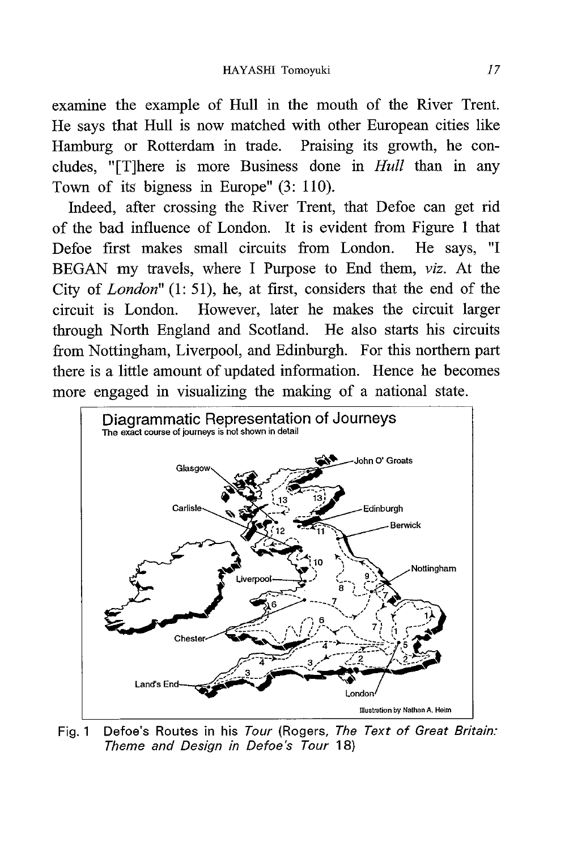examine the example of Hull in the mouth of the River Trent. He says that Hull is now matched with other European cities like Hamburg or Rotterdam in trade. Praising its growth, he concludes, "[T]here is more Business done in Hull than in any Town of its bigness in Europe" (3: 110).

Indeed, after crossing the River Trent, that Defoe can get rid of the bad influence of London. It is evident from Figure 1 that Defoe first makes small circuits from London. He says, "I BEGAN my travels, where I Purpose to End them, viz. At the City of London" (1: 51), he, at first, considers that the end of the circuit is London. However, later he makes the circuit larger through North England and Scotland. He also starts his circuits from Nottingham, Liverpool, and Edinburgh. For this northern part there is a little amount of updated information. Hence he becomes more engaged in visualizing the making of a national state.



Fig. 1 Defoe's Routes in his Tour (Rogers, The Text of Great Britain: Theme and Design in Defoe's Tour 18)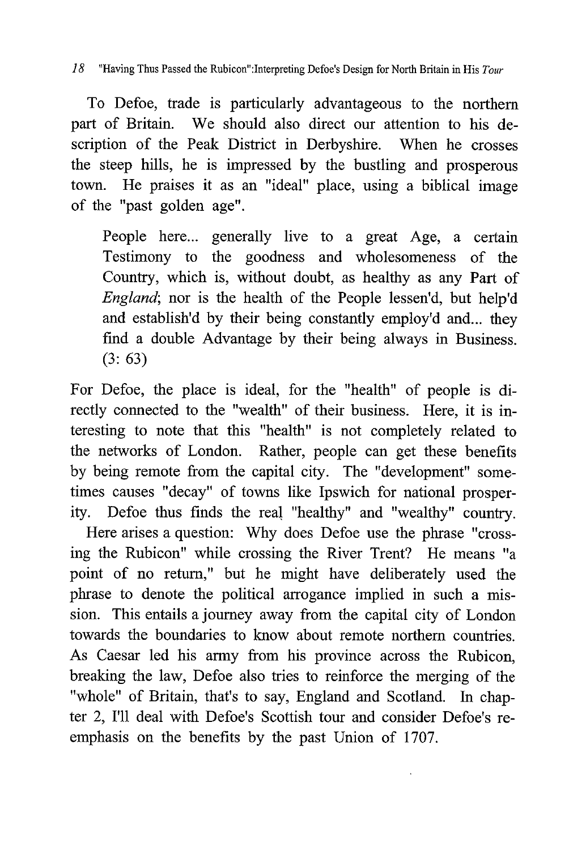18 "Having Thus Passed the Rubicon": Interpreting Defoe's Design for North Britain in His Tour

To Defoe, trade is particularly advantageous to the northern part of Britain. We should also direct our attention to his description of the Peak District in Derbyshire. When he crosses the steep hills, he is impressed by the bustling and prosperous town. He praises it as an "ideal" place, using a biblical image of the "past golden age".

People here... generally live to a great Age, a certain Testimony to the goodness and wholesomeness of the Country, which is, without doubt, as healthy as any Part of England; nor is the health of the People lessen'd, but help'd and establish'd by their being constantly employ'd and... they find a double Advantage by their being always in Business. (3: 63)

For Defoe, the place is ideal, for the "health" of people is directly connected to the "wealth" of their business. Here, it is interesting to note that this "health" is not completely related to the networks of London. Rather, people can get these benefits by being remote from the capital city. The "development" sometimes causes "decay" of towns like Ipswich for national prosperity. Defoe thus finds the real "healthy" and "wealthy" country.

Here arises a question: Why does Defoe use the phrase "crossing the Rubicon" while crossing the River Trent? He means "a point of no return," but he might have deliberately used the phrase to denote the political arrogance implied in such a mission. This entails a journey away from the capital city of London towards the boundaries to know about remote northern countries. As Caesar led his army from his province across the Rubicon, breaking the law, Defoe also tries to reinforce the merging of the "whole" of Britain, that's to say, England and Scotland. In chapter 2, I'll deal with Defoe's Scottish tour and consider Defoe's reemphasis on the benefits by the past Union of 1707.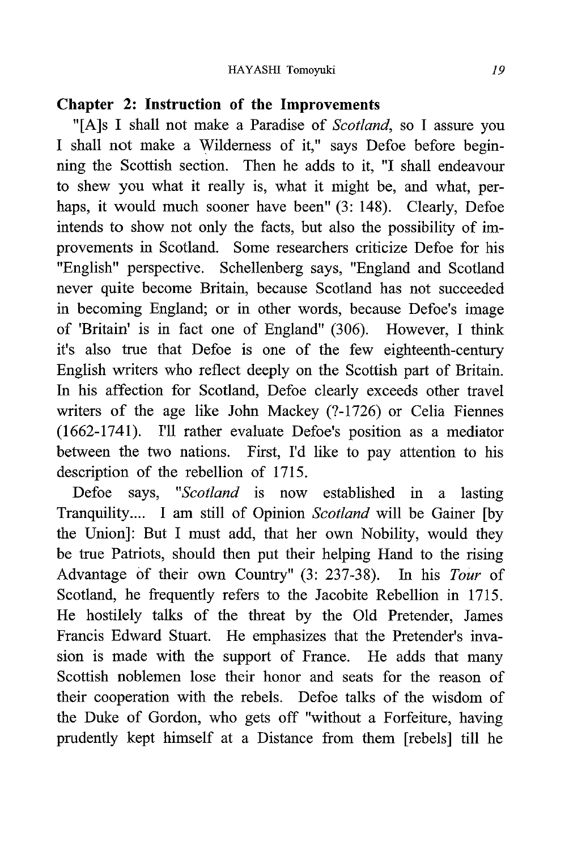# Chapter 2: Instruction of the Improvements

"[A]s I shall not make a Paradise of Scotland, so I assure you I shall not make a Wilderness of it," says Defoe before beginning the Scottish section. Then he adds to it, "I shall endeavour to shew you what it really is, what it might be, and what, perhaps, it would much sooner have been" (3: 148). Clearly, Defoe intends to show not only the facts, but also the possibility of improvements in Scotland. Some researchers criticize Defoe for his .<br>"English" perspective. Schellenberg says, "England and Scotland never quite become Britain, because Scotland has not succeeded in becoming England; or in other words, because Defoe's image of 'Britain' is in fact one of England" (306). However, I think it's also true that Defoe is one of the few eighteenth-century English writers who reflect deeply on the Scottish part of Britain. In his affection for Scotland, Defoe clearly exceeds other travel writers of the age like John Mackey (?-1726) or Celia Fiennes (1662-1741). I'll rather evaluate Defoe's position as a mediator between the two nations. First, I'd like to pay attention to his description of the rebellion of 1715.

Defoe says, "Scotland is now established in a lasting Tranquility.... I am still of Opinion Scotland will be Gainer [by the Union]: But I must add, that her own Nobility, would they be true Patriots, should then put their helping Hand to the rising Advantage of their own Country" (3: 237-38). In his Tour of Scotland, he frequently refers to the Jacobite Rebellion in 1715. He hostilely talks of the threat by the Old Pretender, James Francis Edward Stuart. He emphasizes that the Pretender's invasion is made with the support of France. He adds that many Scottish noblemen lose their honor and seats for the reason of their cooperation with the rebels. Defoe talks of the wisdom of the Duke of Gordon, who gets off "without a Forfeiture, having prudently kept himself at a Distance from them [rebels] till he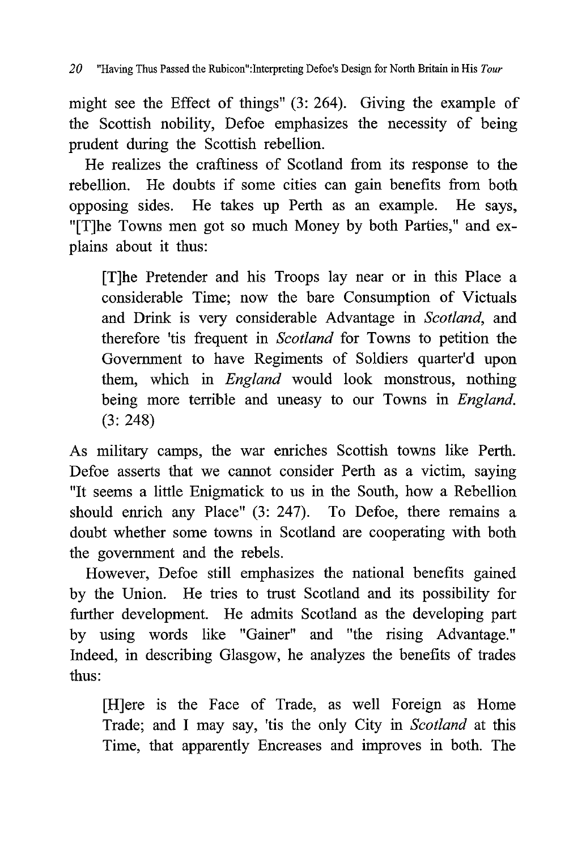might see the Effect of things" (3: 264). Giving the example of the Scottish nobility, Defoe emphasizes the necessity of being prudent during the Scottish rebellion.

He realizes the craftiness of Scotland from its response to the rebellion. He doubts if some cities can gain benefits from both opposing sides. He takes up Perth as an example. He says, "[T]he Towns men got so much Money by both Parties," and explains about it thus:

[T]he Pretender and his Troops lay near or in this Place a considerable Time; now the bare Consumption of Victuals and Drink is very considerable Advantage in Scotland, and therefore 'tis frequent in Scotland for Towns to petition the Government to have Regiments of Soldiers quarter'd upon them, which in England would look monstrous, nothing being more terrible and uneasy to our Towns in *England*. (3: 248)

As military camps, the war enriches Scottish towns like Perth. Defoe asserts that we cannot consider Perth as a victim, saying "It seems a little Enigmatick to us in the South , how a Rebellion should enrich any Place" (3: 247). To Defoe, there remains a doubt whether some towns in Scotland are cooperating with both the government and the rebels.

However, Defoe still emphasizes the national benefits gained by the Union. He tries to trust Scotland and its possibility for further development. He admits Scotland as the developing part by using words like "Gainer" and "the rising Advantage." Indeed, in describing Glasgow, he analyzes the benefits of trades thus:

 [H]ere is the Face of Trade, as well Foreign as Home Trade; and I may say, 'tis the only City in Scotland at this Time, that apparently Encreases and improves in both. The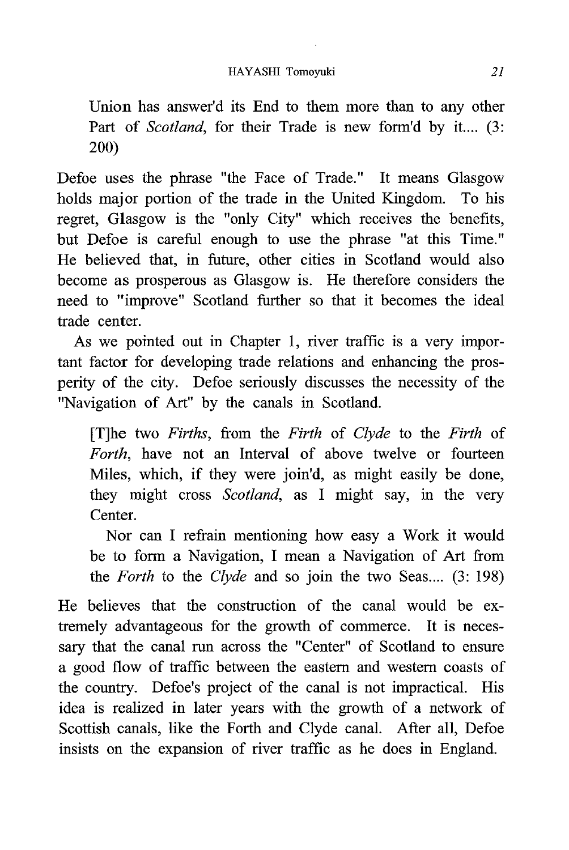Union has answer'd its End to them more than to any other Part of Scotland, for their Trade is new form'd by it.... (3: 200)

Defoe uses the phrase "the Face of Trade." It means Glasgow holds major portion of the trade in the United Kingdom. To his regret, Glasgow is the "only City" which receives the benefits, but Defoe is careful enough to use the phrase "at this Time." He believed that, in future, other cities in Scotland would also become as prosperous as Glasgow is. He therefore considers the need to "improve" Scotland further so that it becomes the ideal trade center.

As we pointed out in Chapter 1, river traffic is a very important factor for developing trade relations and enhancing the prosperity of the city. Defoe seriously discusses the necessity of the "Navigation of Art" by the canals in Scotland.

[T]he two Firths, from the Firth of Clyde to the Firth of Forth, have not an Interval of above twelve or fourteen Miles, which, if they were join'd, as might easily be done, they might cross Scotland, as I might say, in the very Center.

 Nor can I refrain mentioning how easy a Work it would be to form a Navigation, I mean a Navigation of Art from the Forth to the Clyde and so join the two Seas.... (3: 198)

He believes that the construction of the canal would be extremely advantageous for the growth of commerce. It is necessary that the canal run across the "Center" of Scotland to ensure a good flow of traffic between the eastern and western coasts of the country. Defoe's project of the canal is not impractical. His idea is realized in later years with the growth of a network of Scottish canals, like the Forth and Clyde canal. After all, Defoe insists on the expansion of river traffic as he does in England.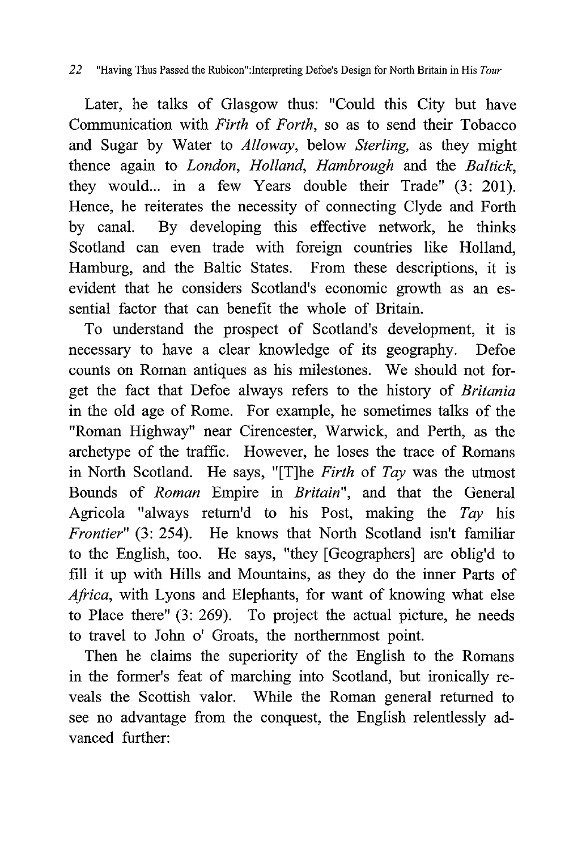Later, he talks of Glasgow thus: "Could this City but have Communication with Firth of Forth, so as to send their Tobacco and Sugar by Water to Alloway, below Sterling, as they might thence again to London, Holland, Hambrough and the Baltick, they would... in a few Years double their Trade" (3: 201). Hence, he reiterates the necessity of connecting Clyde and Forth by canal. By developing this effective network, he thinks Scotland can even trade with foreign countries like Holland, Hamburg, and the Baltic States. From these descriptions, it is evident that he considers Scotland's economic growth as an essential factor that can benefit the whole of Britain.

To understand the prospect of Scotland's development, it is necessary to have a clear knowledge of its geography. Defoe counts on Roman antiques as his milestones. We should not forget the fact that Defoe always refers to the history of Britania in the old age of Rome. For example, he sometimes talks of the "Roman Highway" near Cirencester , Warwick, and Perth, as the archetype of the traffic. However, he loses the trace of Romans in North Scotland. He says, "[T]he Firth of Tay was the utmost Bounds of Roman Empire in Britain", and that the General Agricola "always return'd to his Post, making the  $Tay$  his Frontier" (3: 254). He knows that North Scotland isn't familiar to the English, too. He says, "they [Geographers] are oblig'd to fill it up with Hills and Mountains, as they do the inner Parts of Africa, with Lyons and Elephants, for want of knowing what else to Place there" (3: 269). To project the actual picture, he needs to travel to John o' Groats, the northernmost point.

Then he claims the superiority of the English to the Romans in the former's feat of marching into Scotland, but ironically reveals the Scottish valor. While the Roman general returned to see no advantage from the conquest, the English relentlessly advanced further: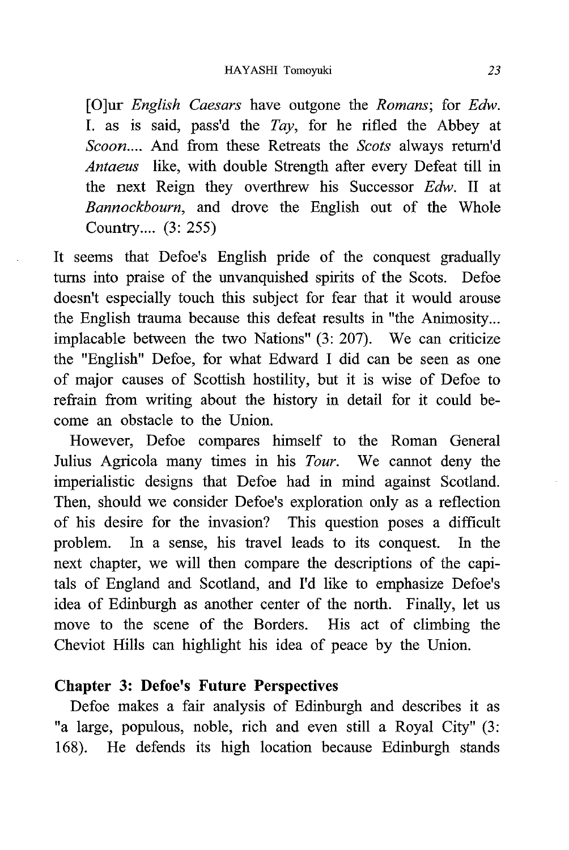[O]ur *English Caesars* have outgone the *Romans*; for *Edw*. I. as is said, pass'd the  $Tay$ , for he rifled the Abbey at Scoon.... And from these Retreats the Scots always return'd Antaeus like, with double Strength after every Defeat till in the next Reign they overthrew his Successor Edw. II at Bannockbourn, and drove the English out of the Whole Country.... (3: 255)

It seems that Defoe's English pride of the conquest gradually turns into praise of the unvanquished spirits of the Scots. Defoe doesn't especially touch this subject for fear that it would arouse the English trauma because this defeat results in "the Animosity... implacable between the two Nations" (3: 207). We can criticize the "English" Defoe, for what Edward I did can be seen as one of major causes of Scottish hostility, but it is wise of Defoe to refrain from writing about the history in detail for it could become an obstacle to the Union.

However, Defoe compares himself to the Roman General Julius Agricola many times in his Tour. We cannot deny the imperialistic designs that Defoe had in mind against Scotland. Then, should we consider Defoe's exploration only as a reflection of his desire for the invasion? This question poses a difficult problem. In a sense, his travel leads to its conquest. In the next chapter, we will then compare the descriptions of the capitals of England and Scotland, and I'd like to emphasize Defoe's idea of Edinburgh as another center of the north. Finally, let us move to the scene of the Borders. His act of climbing the Cheviot Hills can highlight his idea of peace by the Union.

#### Chapter 3: Defoe's Future Perspectives

Defoe makes a fair analysis of Edinburgh and describes it as "a large , populous, noble, rich and even still a Royal City" (3: 168). He defends its high location because Edinburgh stands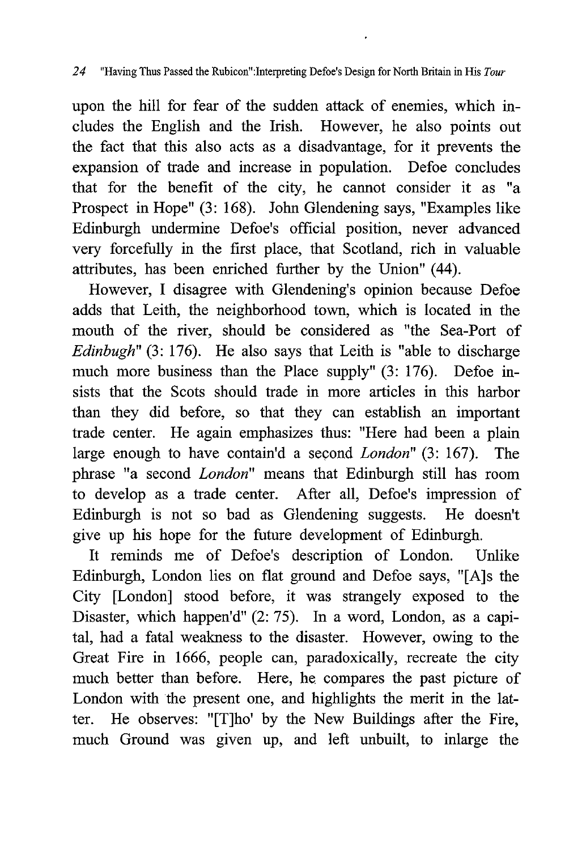upon the hill for fear of the sudden attack of enemies, which includes the English and the Irish. However, he also points out the fact that this also acts as a disadvantage, for it prevents the expansion of trade and increase in population. Defoe concludes that for the benefit of the city, he cannot consider it as "a Prospect in Hope" (3: 168). John Glendening says, "Examples like Edinburgh undermine Defoe's official position, never advanced very forcefully in the first place, that Scotland, rich in valuable attributes, has been enriched further by the Union" (44).

However, I disagree with Glendening's opinion because Defoe adds that Leith, the neighborhood town, which is located in the mouth of the river, should be considered as "the Sea-Port of Edinbugh"  $(3: 176)$ . He also says that Leith is "able to discharge" much more business than the Place supply" (3: 176). Defoe insists that the Scots should trade in more articles in this harbor than they did before, so that they can establish an important trade center. He again emphasizes thus: "Here had been a plain large enough to have contain'd a second London" (3: 167). The phrase "a second London" means that Edinburgh still has room to develop as a trade center. After all, Defoe's impression of Edinburgh is not so bad as Glendening suggests. He doesn't give up his hope for the future development of Edinburgh.

It reminds me of Defoe's description of London. Unlike Edinburgh, London lies on flat ground and Defoe says, "[A]s the City [London] stood before, it was strangely exposed to the Disaster, which happen'd" (2: 75). In a word, London, as a capital, had a fatal weakness to the disaster. However, owing to the Great Fire in 1666, people can, paradoxically, recreate the city much better than before. Here, he compares the past picture of London with the present one, and highlights the merit in the latter. He observes: "[T]ho' by the New Buildings after the Fire, much Ground was given up, and left unbuilt, to inlarge the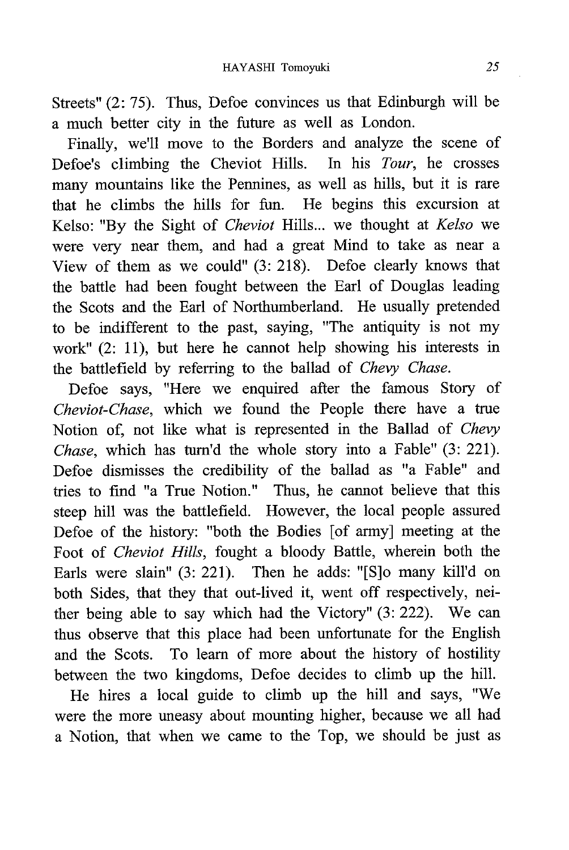Streets" (2: 75). Thus, Defoe convinces us that Edinburgh will be a much better city in the future as well as London.

Finally, we'll move to the Borders and analyze the scene of Defoe's climbing the Cheviot Hills. In his Tour, he crosses many mountains like the Pennines, as well as hills, but it is rare that he climbs the hills for fun. He begins this excursion at Kelso: "By the Sight of Cheviot Hills... we thought at Kelso we were very near them, and had a great Mind to take as near a View of them as we could" (3: 218). Defoe clearly knows that the battle had been fought between the Earl of Douglas leading the Scots and the Earl of Northumberland. He usually pretended to be indifferent to the past, saying, "The antiquity is not my work" (2: 11), but here he cannot help showing his interests in the battlefield by referring to the ballad of Chevy Chase.

Defoe says, "Here we enquired after the famous Story of Cheviot-Chase, which we found the People there have a true Notion of, not like what is represented in the Ballad of Chevy Chase, which has turn'd the whole story into a Fable" (3: 221). Defoe dismisses the credibility of the ballad as "a Fable" and tries to find "a True Notion." Thus, he cannot believe that this steep hill was the battlefield. However, the local people assured Defoe of the history: "both the Bodies [of army] meeting at the Foot of Cheviot Hills, fought a bloody Battle, wherein both the Earls were slain" (3: 221). Then he adds: "[S]o many kill'd on both Sides, that they that out-lived it, went off respectively, neither being able to say which had the Victory" (3: 222). We can thus observe that this place had been unfortunate for the English and the Scots. To learn of more about the history of hostility between the two kingdoms, Defoe decides to climb up the hill.

He hires a local guide to climb up the hill and says, "We were the more uneasy about mounting higher, because we all had a Notion, that when we came to the Top, we should be just as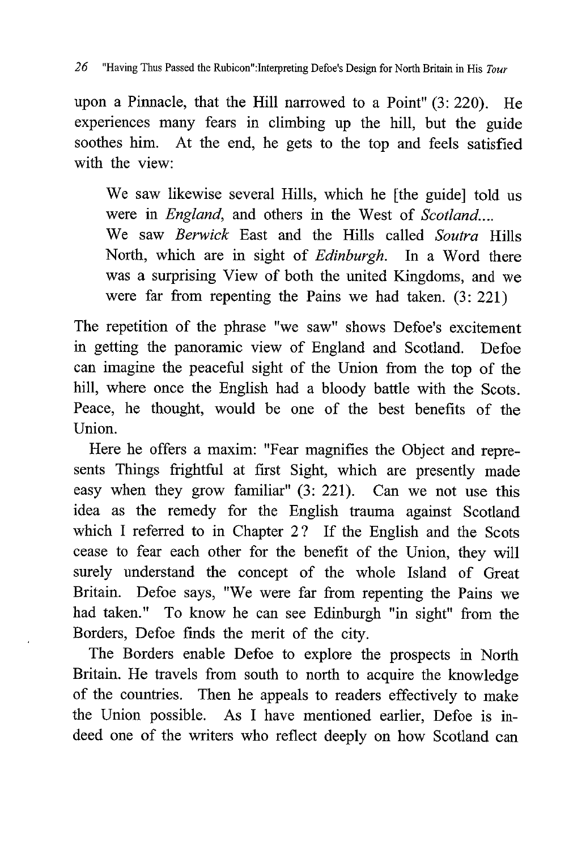upon a Pinnacle, that the Hill narrowed to a Point" (3: 220). He experiences many fears in climbing up the hill, but the guide soothes him. At the end, he gets to the top and feels satisfied with the view:

We saw likewise several Hills, which he [the guide] told us were in *England*, and others in the West of *Scotland....* We saw Berwick East and the Hills called Soutra Hills North, which are in sight of Edinburgh. In a Word there was a surprising View of both the united Kingdoms, and we were far from repenting the Pains we had taken. (3: 221)

The repetition of the phrase "we saw" shows Defoe's excitement in getting the panoramic view of England and Scotland. Defoe can imagine the peaceful sight of the Union from the top of the hill, where once the English had a bloody battle with the Scots. Peace, he thought, would be one of the best benefits of the Union.

Here he offers a maxim: "Fear magnifies the Object and represents Things frightful at first Sight, which are presently made easy when they grow familiar" (3: 221). Can we not use this idea as the remedy for the English trauma against Scotland which I referred to in Chapter 2? If the English and the Scots cease to fear each other for the benefit of the Union, they will surely understand the concept of the whole Island of Great Britain. Defoe says, "We were far from repenting the Pains we had taken." To know he can see Edinburgh "in sight" from the Borders, Defoe finds the merit of the city.

The Borders enable Defoe to explore the prospects in North Britain. He travels from south to north to acquire the knowledge of the countries. Then he appeals to readers effectively to make the Union possible. As I have mentioned earlier, Defoe is indeed one of the writers who reflect deeply on how Scotland can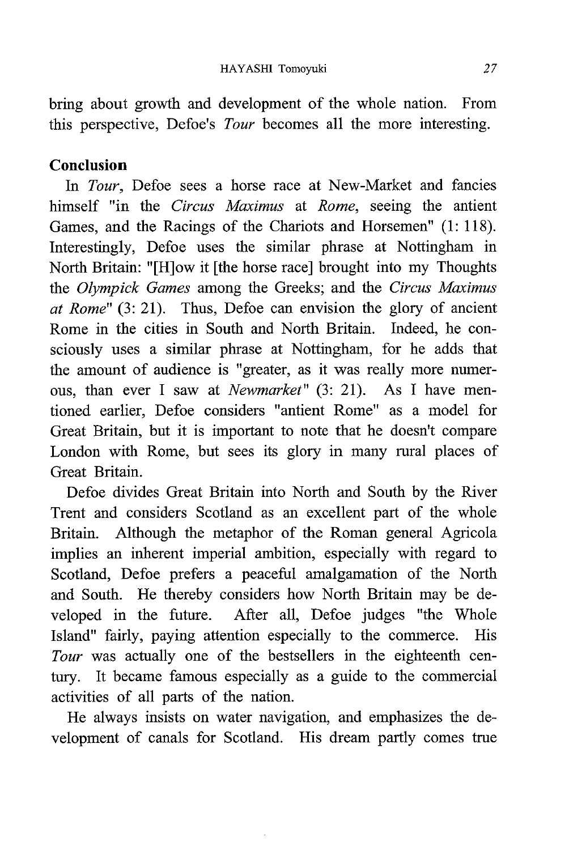bring about growth and development of the whole nation. From this perspective, Defoe's Tour becomes all the more interesting.

# Conclusion

In Tour, Defoe sees a horse race at New-Market and fancies himself "in the Circus Maximus at Rome, seeing the antient Games, and the Racings of the Chariots and Horsemen" (1: 118). Interestingly, Defoe uses the similar phrase at Nottingham in North Britain: "[H]ow it [the horse race] brought into my Thoughts the Olympick Games among the Greeks; and the Circus Maximus at Rome"  $(3: 21)$ . Thus, Defoe can envision the glory of ancient Rome in the cities in South and North Britain. Indeed, he consciously uses a similar phrase at Nottingham, for he adds that the amount of audience is "greater, as it was really more numerous, than ever I saw at Newmarket" (3: 21). As I have mentioned earlier, Defoe considers "antient Rome" as a model for Great Britain, but it is important to note that he doesn't compare London with Rome, but sees its glory in many rural places of Great Britain.

Defoe divides Great Britain into North and South by the River Trent and considers Scotland as an excellent part of the whole Britain. Although the metaphor of the Roman general Agricola implies an inherent imperial ambition, especially with regard to Scotland, Defoe prefers a peaceful amalgamation of the North and South. He thereby considers how North Britain may be developed in the future. After all, Defoe judges "the Whole Island" fairly, paying attention especially to the commerce. His Tour was actually one of the bestsellers in the eighteenth century. It became famous especially as a guide to the commercial activities of all parts of the nation.

He always insists on water navigation, and emphasizes the development of canals for Scotland. His dream partly comes true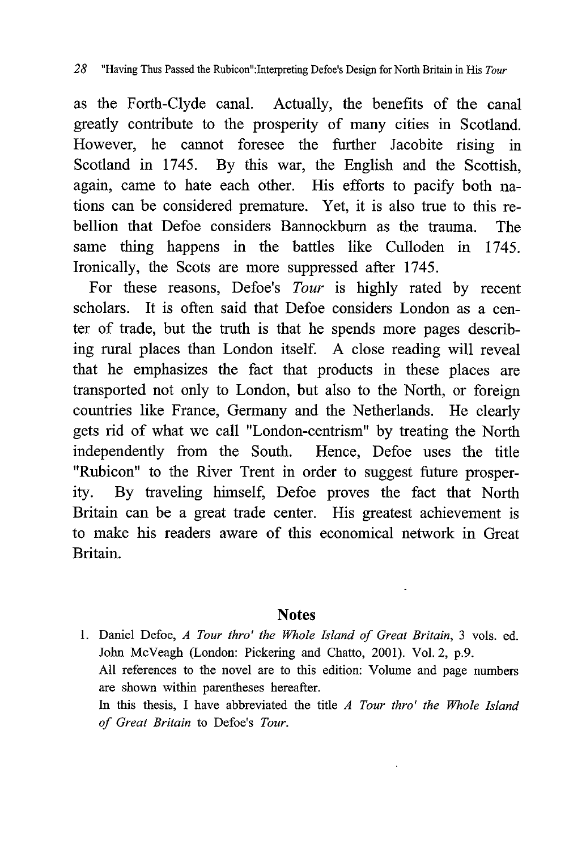as the Forth-Clyde canal. Actually, the benefits of the canal greatly contribute to the prosperity of many cities in Scotland. However, he cannot foresee the further Jacobite rising in Scotland in 1745. By this war, the English and the Scottish, again, came to hate each other. His efforts to pacify both nations can be considered premature. Yet, it is also true to this rebellion that Defoe considers Bannockburn as the trauma. The same thing happens in the battles like Culloden in 1745. Ironically, the Scots are more suppressed after 1745.

For these reasons, Defoe's Tour is highly rated by recent scholars. It is often said that Defoe considers London as a center of trade, but the truth is that he spends more pages describing rural places than London itself. A close reading will reveal that he emphasizes the fact that products in these places are transported not only to London, but also to the North, or foreign countries like France, Germany and the Netherlands. He clearly gets rid of what we call "London-centrism" by treating the North independently from the South. Hence, Defoe uses the title "Rubicon" to the River Trent in order to suggest future prosper ity. By traveling himself, Defoe proves the fact that North Britain can be a great trade center. His greatest achievement is to make his readers aware of this economical network in Great Britain.

#### **Notes**

1. Daniel Defoe, A Tour thro' the Whole Island of Great Britain, 3 vols. ed. John McVeagh (London: Pickering and Chatto, 2001). Vol. 2, p.9. All references to the novel are to this edition: Volume and page numbers are shown within parentheses hereafter. In this thesis, I have abbreviated the title  $A$  Tour thro' the Whole Island of Great Britain to Defoe's Tour.